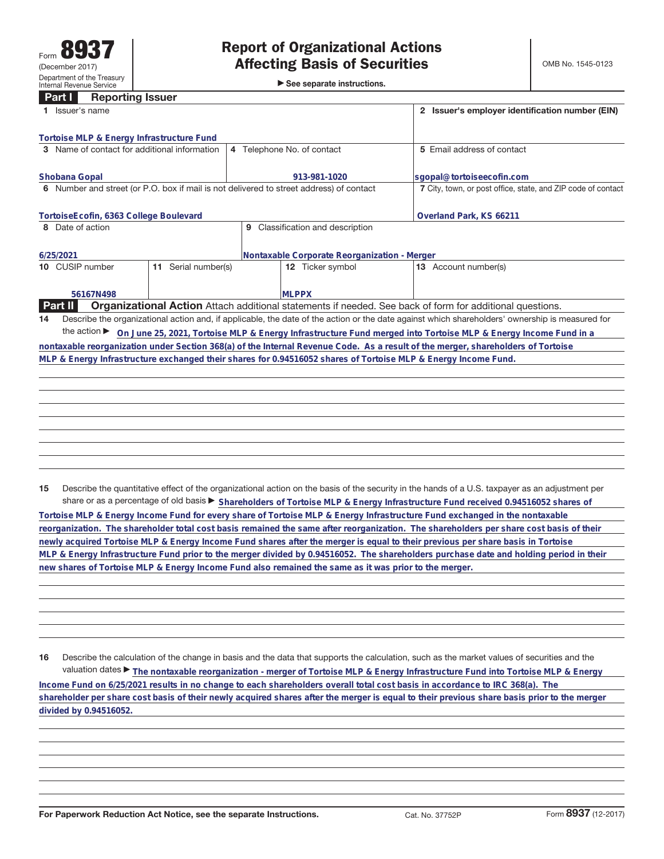►<br>► See separate instructions.

## **Part I Reporting Issuer**

| Issuer's name                                                                                                                                      |                                                                                                                                                 |  |  |  |  |  |  |  |
|----------------------------------------------------------------------------------------------------------------------------------------------------|-------------------------------------------------------------------------------------------------------------------------------------------------|--|--|--|--|--|--|--|
|                                                                                                                                                    |                                                                                                                                                 |  |  |  |  |  |  |  |
| 4 Telephone No. of contact                                                                                                                         | 5 Email address of contact                                                                                                                      |  |  |  |  |  |  |  |
| 913-981-1020                                                                                                                                       | sgopal@tortoiseecofin.com                                                                                                                       |  |  |  |  |  |  |  |
| 6 Number and street (or P.O. box if mail is not delivered to street address) of contact                                                            | 7 City, town, or post office, state, and ZIP code of contact                                                                                    |  |  |  |  |  |  |  |
|                                                                                                                                                    | Overland Park, KS 66211                                                                                                                         |  |  |  |  |  |  |  |
| Classification and description<br>9                                                                                                                |                                                                                                                                                 |  |  |  |  |  |  |  |
| 6/25/2021<br>Nontaxable Corporate Reorganization - Merger                                                                                          |                                                                                                                                                 |  |  |  |  |  |  |  |
| Serial number(s)<br><b>12</b> Ticker symbol                                                                                                        | <b>13</b> Account number(s)                                                                                                                     |  |  |  |  |  |  |  |
| <b>MLPPX</b>                                                                                                                                       |                                                                                                                                                 |  |  |  |  |  |  |  |
| Organizational Action Attach additional statements if needed. See back of form for additional questions.                                           |                                                                                                                                                 |  |  |  |  |  |  |  |
|                                                                                                                                                    | Describe the organizational action and, if applicable, the date of the action or the date against which shareholders' ownership is measured for |  |  |  |  |  |  |  |
| the action $\blacktriangleright$<br>On June 25, 2021, Tortoise MLP & Energy Infrastructure Fund merged into Tortoise MLP & Energy Income Fund in a |                                                                                                                                                 |  |  |  |  |  |  |  |
|                                                                                                                                                    | nontaxable reorganization under Section 368(a) of the Internal Revenue Code. As a result of the merger, shareholders of Tortoise                |  |  |  |  |  |  |  |
| MLP & Energy Infrastructure exchanged their shares for 0.94516052 shares of Tortoise MLP & Energy Income Fund.                                     |                                                                                                                                                 |  |  |  |  |  |  |  |
|                                                                                                                                                    |                                                                                                                                                 |  |  |  |  |  |  |  |
|                                                                                                                                                    |                                                                                                                                                 |  |  |  |  |  |  |  |
|                                                                                                                                                    |                                                                                                                                                 |  |  |  |  |  |  |  |
|                                                                                                                                                    |                                                                                                                                                 |  |  |  |  |  |  |  |
|                                                                                                                                                    |                                                                                                                                                 |  |  |  |  |  |  |  |

**15** Describe the quantitative effect of the organizational action on the basis of the security in the hands of a U.S. taxpayer as an adjustment per share or as a percentage of old basis ► Shareholders of Tortoise MLP & Energy Infrastructure Fund received 0.94516052 shares of

**Tortoise MLP & Energy Income Fund for every share of Tortoise MLP & Energy Infrastructure Fund exchanged in the nontaxable reorganization. The shareholder total cost basis remained the same after reorganization. The shareholders per share cost basis of their newly acquired Tortoise MLP & Energy Income Fund shares after the merger is equal to their previous per share basis in Tortoise MLP & Energy Infrastructure Fund prior to the merger divided by 0.94516052. The shareholders purchase date and holding period in their new shares of Tortoise MLP & Energy Income Fund also remained the same as it was prior to the merger.**

**16** Describe the calculation of the change in basis and the data that supports the calculation, such as the market values of securities and the valuation dates ▶ The nontaxable reorganization - merger of Tortoise MLP & Energy Infrastructure Fund into Tortoise MLP & Energy **Income Fund on 6/25/2021 results in no change to each shareholders overall total cost basis in accordance to IRC 368(a). The shareholder per share cost basis of their newly acquired shares after the merger is equal to their previous share basis prior to the merger divided by 0.94516052.**